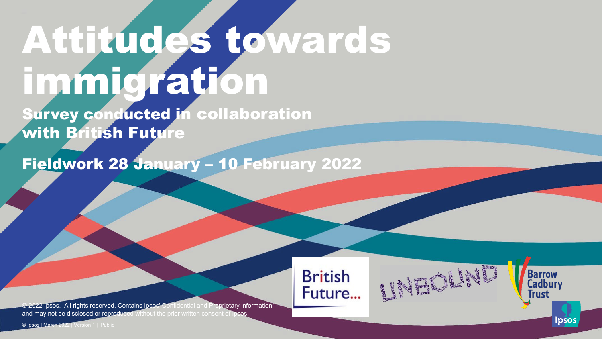# Attitudes towards immigration

Survey conducted in collaboration with British Future

Fieldwork 28 January – 10 February 2022

**ENTERED PROPERTY AND SURVEY OF STRATEGIES** 

**British** 

Future...

Barrow<br>Cadbury<br>Trust

Ipsos

© 2022 Ipsos. All rights reserved. Contains Ipsos' Confidential and Proprietary information and may not be disclosed or reproduced without the prior written consent of Ipsos.

© Ipsos | March 2022 | Version 1 | Public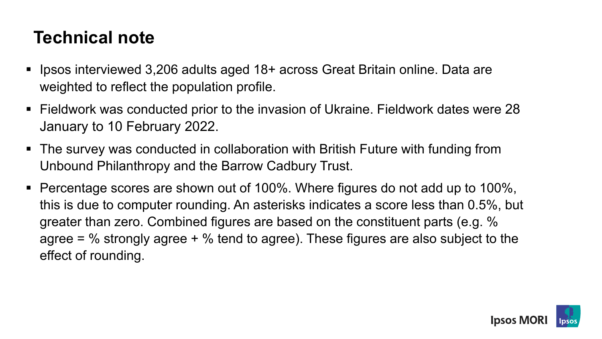# **Technical note**

- Ipsos interviewed 3,206 adults aged 18+ across Great Britain online. Data are weighted to reflect the population profile.
- Fieldwork was conducted prior to the invasion of Ukraine. Fieldwork dates were 28 January to 10 February 2022.
- The survey was conducted in collaboration with British Future with funding from Unbound Philanthropy and the Barrow Cadbury Trust.
- Percentage scores are shown out of 100%. Where figures do not add up to 100%, this is due to computer rounding. An asterisks indicates a score less than 0.5%, but greater than zero. Combined figures are based on the constituent parts (e.g. % agree =  $\%$  strongly agree +  $\%$  tend to agree). These figures are also subject to the effect of rounding.

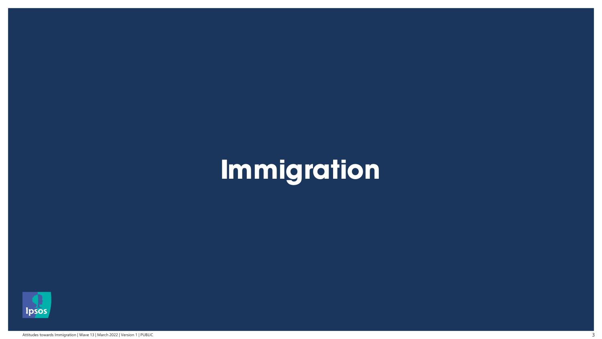# **Immigration**

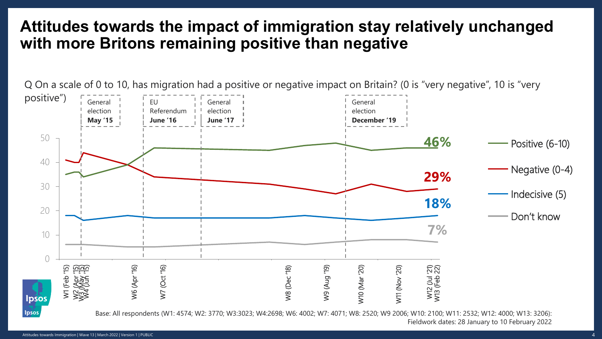## **Attitudes towards the impact of immigration stay relatively unchanged with more Britons remaining positive than negative**

Q On a scale of 0 to 10, has migration had a positive or negative impact on Britain? (0 is "very negative", 10 is "very positive") General EU General General election Referendum election election **May '15 June '16 December '19 June '17** 50 **46%** Positive (6-10) 40 Negative (0-4) **29%** 30 Indecisive (5) **18%** 20 Don't know **7%** 10  $\bigcap$ Jan  $\mathbf{z}$  $\overline{\phantom{0}}$  $\overline{\phantom{a}}$ W2 (Apr '15) W3 (May '15) W4 (Jun '15) W6 (Apr '16) W10 (Mar '20) W1 (Feb '15) W6 (Apr '16) W7 (Oct '16) W8 (Dec '18) W9 (Aug '19) W10 (Mar '20) W11 (Nov '20) W11 (Nov '20) W12 (Jul '21) W13 (Feb 22)W8 (Dec '18)  $\frac{1}{2}$  $\Xi$  $\frac{20}{20}$ 2022 (Feb  $\sum$ **Ipsos** lpsos

Base: All respondents (W1: 4574; W2: 3770; W3:3023; W4:2698; W6: 4002; W7: 4071; W8: 2520; W9 2006; W10: 2100; W11: 2532; W12: 4000; W13: 3206): Fieldwork dates: 28 January to 10 February 2022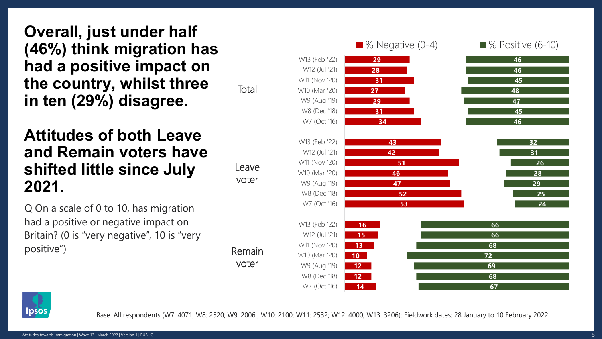**Overall, just under half (46%) think migration has had a positive impact on the country, whilst three in ten (29%) disagree.** 

#### **Attitudes of both Leave and Remain voters have shifted little since July 2021.**

Q On a scale of 0 to 10, has migration had a positive or negative impact on Britain? (0 is "very negative", 10 is "very positive")

Leave voter

Remain

voter

**Total** 

**29 28 31 27 29 31 34 43 42 51 46 47 52 53 16 15 13 10 12 12 14 46 46 45 48 47 45 46 32 31 26 28 29 25 24 66 66 68 72 69 68 67** W13 (Feb '22) W12 (Jul '21) W11 (Nov '20) W10 (Mar '20) W9 (Aug '19) W8 (Dec '18) W7 (Oct '16) W13 (Feb '22) W12 (Jul '21) W11 (Nov '20) W10 (Mar '20) W9 (Aug '19) W8 (Dec '18) W7 (Oct '16) W13 (Feb '22) W12 (Jul '21) W11 (Nov '20) W10 (Mar '20) W9 (Aug '19) W8 (Dec '18) W7 (Oct '16) ■ % Negative (0-4) ■ % Positive (6-10)



Base: All respondents (W7: 4071; W8: 2520; W9: 2006 ; W10: 2100; W11: 2532; W12: 4000; W13: 3206): Fieldwork dates: 28 January to 10 February 2022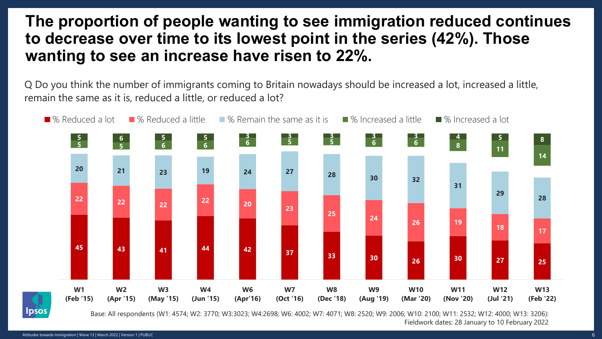#### **The proportion of people wanting to see immigration reduced continues to decrease over time to its lowest point in the series (42%). Those wanting to see an increase have risen to 22%.**

Q Do you think the number of immigrants coming to Britain nowadays should be increased a lot, increased a little, remain the same as it is, reduced a little, or reduced a lot?



Base: All respondents (W1: 4574; W2: 3770; W3:3023; W4:2698; W6: 4002; W7: 4071; W8: 2520; W9: 2006; W10: 2100; W11: 2532; W12: 4000; W13: 3206): Fieldwork dates: 28 January to 10 February 2022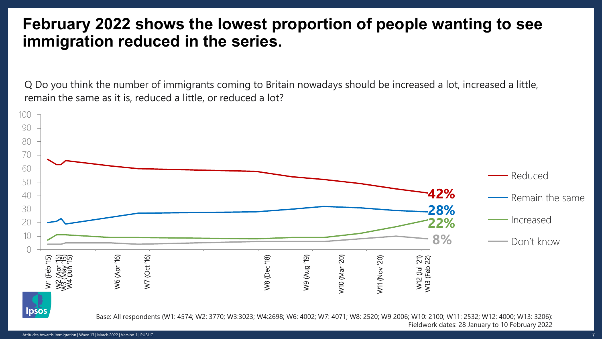#### **February 2022 shows the lowest proportion of people wanting to see immigration reduced in the series.**

Q Do you think the number of immigrants coming to Britain nowadays should be increased a lot, increased a little, remain the same as it is, reduced a little, or reduced a lot?

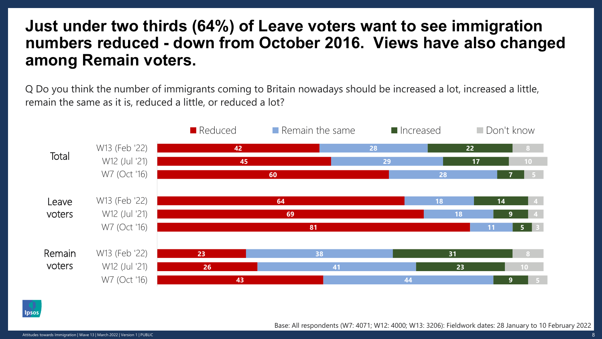#### **Just under two thirds (64%) of Leave voters want to see immigration numbers reduced - down from October 2016. Views have also changed among Remain voters.**

Q Do you think the number of immigrants coming to Britain nowadays should be increased a lot, increased a little, remain the same as it is, reduced a little, or reduced a lot?





Base: All respondents (W7: 4071; W12: 4000; W13: 3206): Fieldwork dates: 28 January to 10 February 2022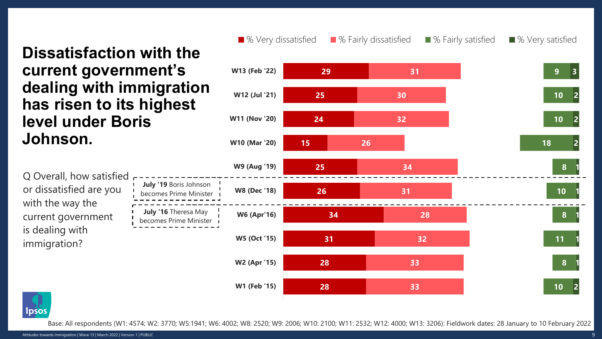Q Overall, how satisfied or dissatisfied are you with the way the current government is dealing with immigration? **29 25 24 15 25 26 34 31 28 28 31 30 32 26 34 31 28 32 33 33 9 10 10 18 8 10 8 11 8 10 3 2 2 2 1 1 1 1 1 2 W13 (Feb '22) W12 (Jul '21) W11 (Nov '20) W10 (Mar '20) W9 (Aug '19) W8 (Dec '18) W6 (Apr'16) W5 (Oct '15) W2 (Apr '15) W1 (Feb '15)** ■ % Very dissatisfied ■ % Fairly dissatisfied ■ % Fairly satisfied ■ % Very satisfied **July '16** Theresa May becomes Prime Minister **July '19** Boris Johnson becomes Prime Minister **Dissatisfaction with the current government's dealing with immigration has risen to its highest level under Boris Johnson.**

**lpsos** 

Base: All respondents (W1: 4574; W2: 3770; W5:1941; W6: 4002; W8: 2520; W9: 2006; W10: 2100; W11: 2532; W12: 4000; W13: 3206): Fieldwork dates: 28 January to 10 February 2022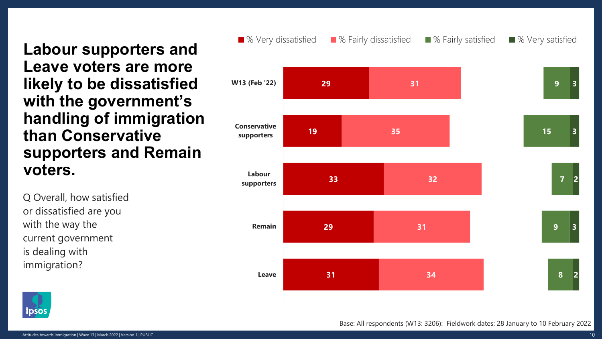**Labour supporters and Leave voters are more likely to be dissatisfied with the government's handling of immigration than Conservative supporters and Remain voters.**

Q Overall, how satisfied or dissatisfied are you with the way the current government is dealing with immigration?





Base: All respondents (W13: 3206): Fieldwork dates: 28 January to 10 February 2022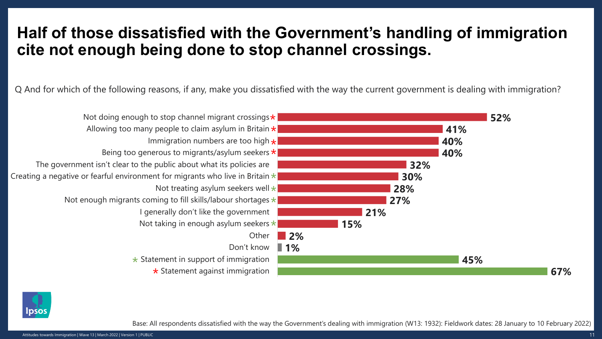### **Half of those dissatisfied with the Government's handling of immigration cite not enough being done to stop channel crossings.**

Q And for which of the following reasons, if any, make you dissatisfied with the way the current government is dealing with immigration?





Base: All respondents dissatisfied with the way the Government's dealing with immigration (W13: 1932): Fieldwork dates: 28 January to 10 February 2022)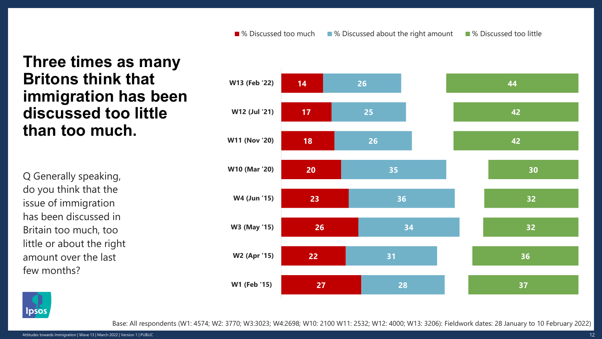#### **Three times as many Britons think that immigration has been discussed too little than too much.**

Q Generally speaking, do you think that the issue of immigration has been discussed in Britain too much, too little or about the right amount over the last few months?





Base: All respondents (W1: 4574; W2: 3770; W3:3023; W4:2698; W10: 2100 W11: 2532; W12: 4000; W13: 3206): Fieldwork dates: 28 January to 10 February 2022)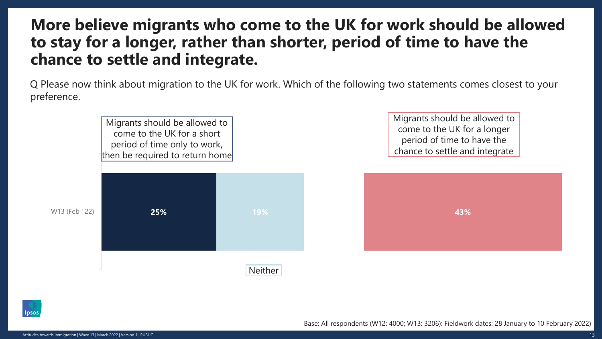#### **More believe migrants who come to the UK for work should be allowed to stay for a longer, rather than shorter, period of time to have the chance to settle and integrate.**

Q Please now think about migration to the UK for work. Which of the following two statements comes closest to your preference.

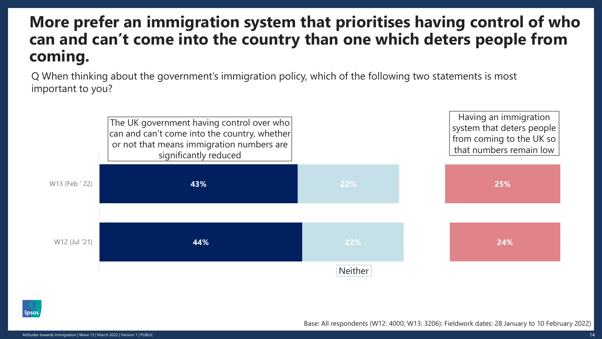# **More prefer an immigration system that prioritises having control of who can and can't come into the country than one which deters people from coming.**

Q When thinking about the government's immigration policy, which of the following two statements is most important to you?



Base: All respondents (W12: 4000; W13: 3206): Fieldwork dates: 28 January to 10 February 2022)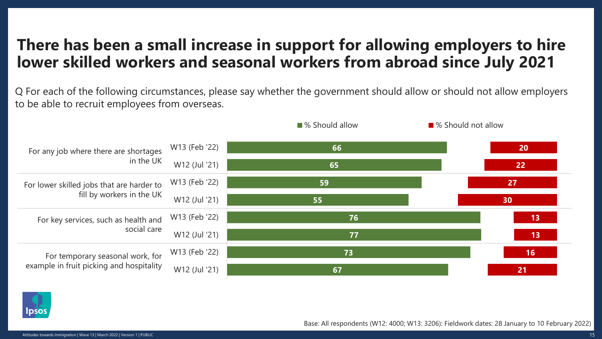# **There has been a small increase in support for allowing employers to hire lower skilled workers and seasonal workers from abroad since July 2021**

Q For each of the following circumstances, please say whether the government should allow or should not allow employers to be able to recruit employees from overseas.





Base: All respondents (W12: 4000; W13: 3206): Fieldwork dates: 28 January to 10 February 2022)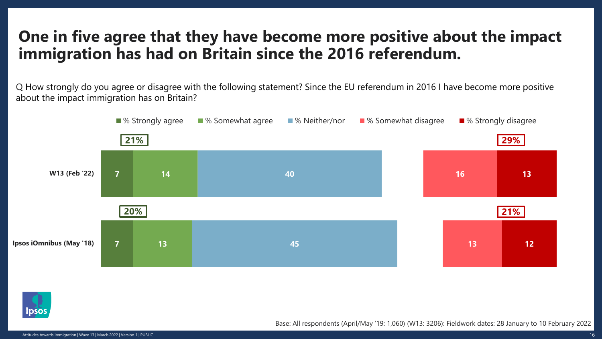# **One in five agree that they have become more positive about the impact immigration has had on Britain since the 2016 referendum.**

Q How strongly do you agree or disagree with the following statement? Since the EU referendum in 2016 I have become more positive about the impact immigration has on Britain?





Base: All respondents (April/May '19: 1,060) (W13: 3206): Fieldwork dates: 28 January to 10 February 2022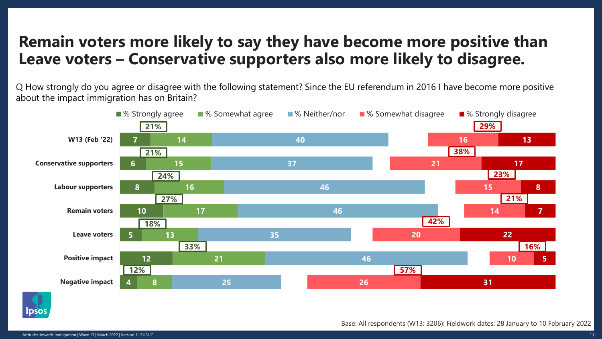### **Remain voters more likely to say they have become more positive than Leave voters – Conservative supporters also more likely to disagree.**

Q How strongly do you agree or disagree with the following statement? Since the EU referendum in 2016 I have become more positive about the impact immigration has on Britain?





Base: All respondents (W13: 3206): Fieldwork dates: 28 January to 10 February 2022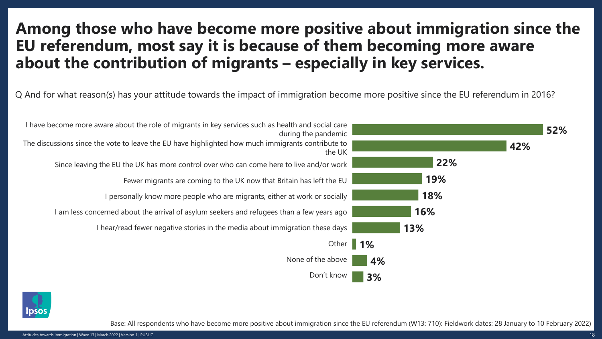### **Among those who have become more positive about immigration since the EU referendum, most say it is because of them becoming more aware about the contribution of migrants – especially in key services.**

Q And for what reason(s) has your attitude towards the impact of immigration become more positive since the EU referendum in 2016?





Base: All respondents who have become more positive about immigration since the EU referendum (W13: 710): Fieldwork dates: 28 January to 10 February 2022)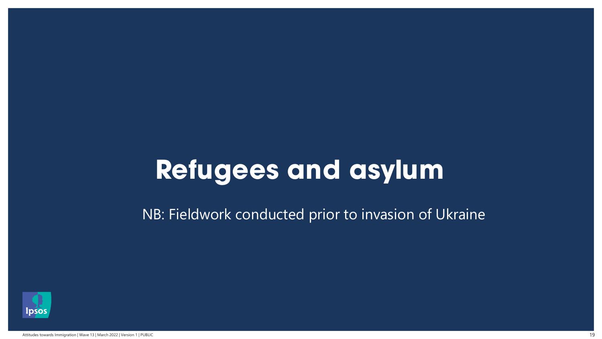# **Refugees and asylum**

NB: Fieldwork conducted prior to invasion of Ukraine

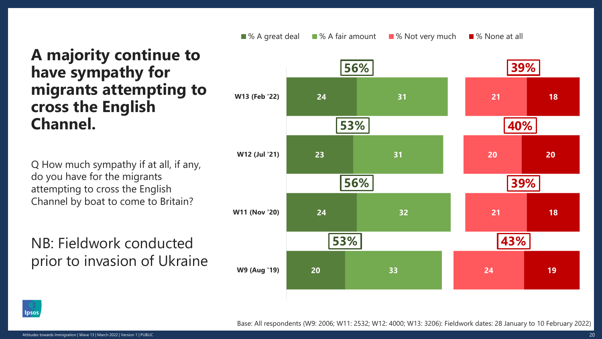**A majority continue to have sympathy for migrants attempting to cross the English** 

Q How much sympathy if at all, if any, do you have for the migrants attempting to cross the English Channel by boat to come to Britain?

NB: Fieldwork conducted prior to invasion of Ukraine





Base: All respondents (W9: 2006; W11: 2532; W12: 4000; W13: 3206): Fieldwork dates: 28 January to 10 February 2022)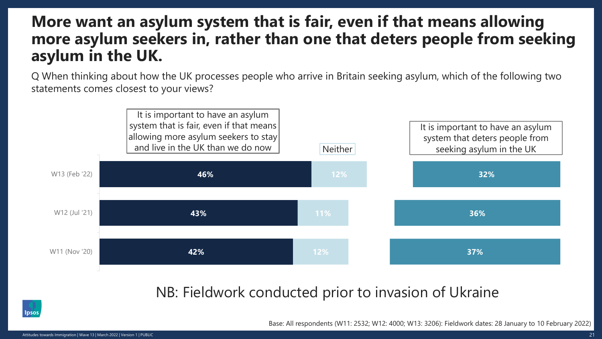#### **More want an asylum system that is fair, even if that means allowing more asylum seekers in, rather than one that deters people from seeking asylum in the UK.**

Q When thinking about how the UK processes people who arrive in Britain seeking asylum, which of the following two statements comes closest to your views?



#### NB: Fieldwork conducted prior to invasion of Ukraine



Base: All respondents (W11: 2532; W12: 4000; W13: 3206): Fieldwork dates: 28 January to 10 February 2022)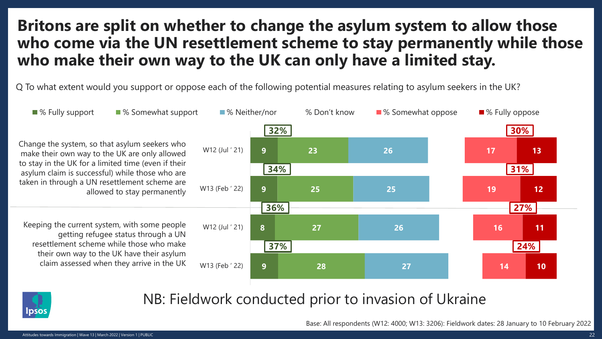## **Britons are split on whether to change the asylum system to allow those who come via the UN resettlement scheme to stay permanently while those who make their own way to the UK can only have a limited stay.**

Q To what extent would you support or oppose each of the following potential measures relating to asylum seekers in the UK?





#### NB: Fieldwork conducted prior to invasion of Ukraine

Base: All respondents (W12: 4000; W13: 3206): Fieldwork dates: 28 January to 10 February 2022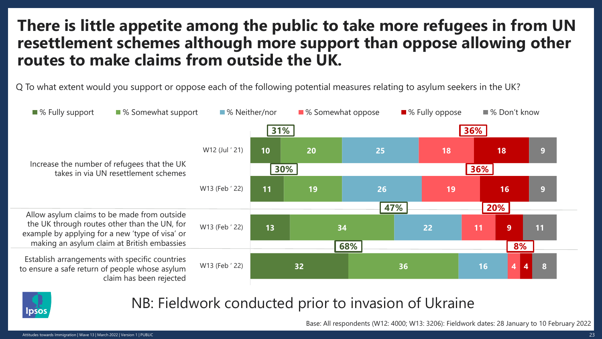## **There is little appetite among the public to take more refugees in from UN resettlement schemes although more support than oppose allowing other routes to make claims from outside the UK.**

Q To what extent would you support or oppose each of the following potential measures relating to asylum seekers in the UK?





#### NB: Fieldwork conducted prior to invasion of Ukraine

Base: All respondents (W12: 4000; W13: 3206): Fieldwork dates: 28 January to 10 February 2022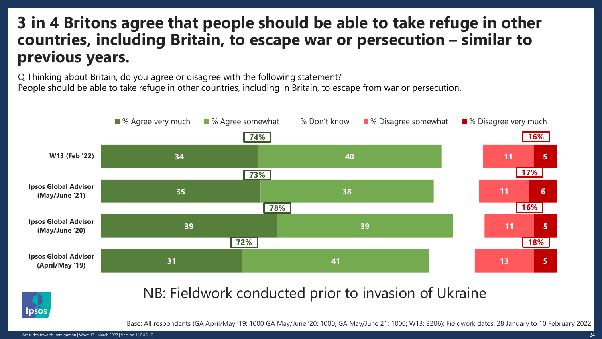## **3 in 4 Britons agree that people should be able to take refuge in other countries, including Britain, to escape war or persecution – similar to previous years.**

Q Thinking about Britain, do you agree or disagree with the following statement?

People should be able to take refuge in other countries, including in Britain, to escape from war or persecution.





#### NB: Fieldwork conducted prior to invasion of Ukraine

Base: All respondents (GA April/May '19: 1000 GA May/June '20: 1000; GA May/June 21: 1000; W13: 3206): Fieldwork dates: 28 January to 10 February 2022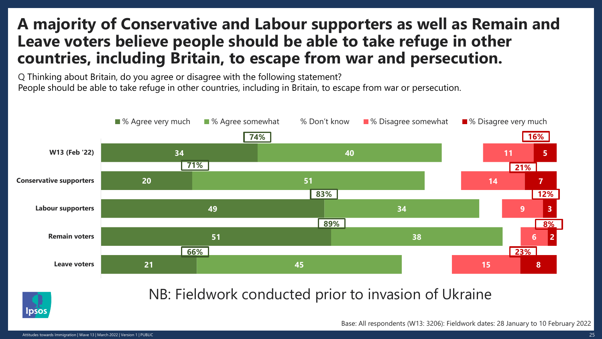### **A majority of Conservative and Labour supporters as well as Remain and Leave voters believe people should be able to take refuge in other countries, including Britain, to escape from war and persecution.**

Q Thinking about Britain, do you agree or disagree with the following statement? People should be able to take refuge in other countries, including in Britain, to escape from war or persecution.





#### NB: Fieldwork conducted prior to invasion of Ukraine

Base: All respondents (W13: 3206): Fieldwork dates: 28 January to 10 February 2022